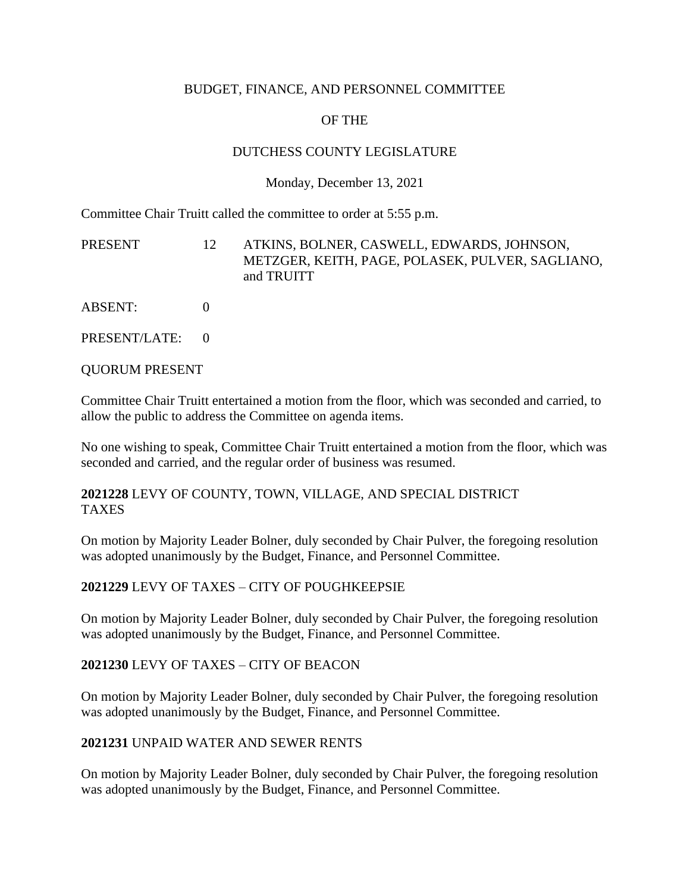### BUDGET, FINANCE, AND PERSONNEL COMMITTEE

# OF THE

## DUTCHESS COUNTY LEGISLATURE

### Monday, December 13, 2021

Committee Chair Truitt called the committee to order at 5:55 p.m.

PRESENT 12 ATKINS, BOLNER, CASWELL, EDWARDS, JOHNSON, METZGER, KEITH, PAGE, POLASEK, PULVER, SAGLIANO, and TRUITT

ABSENT: 0

PRESENT/LATE: 0

QUORUM PRESENT

Committee Chair Truitt entertained a motion from the floor, which was seconded and carried, to allow the public to address the Committee on agenda items.

No one wishing to speak, Committee Chair Truitt entertained a motion from the floor, which was seconded and carried, and the regular order of business was resumed.

### **2021228** LEVY OF COUNTY, TOWN, VILLAGE, AND SPECIAL DISTRICT TAXES

On motion by Majority Leader Bolner, duly seconded by Chair Pulver, the foregoing resolution was adopted unanimously by the Budget, Finance, and Personnel Committee.

#### **2021229** LEVY OF TAXES – CITY OF POUGHKEEPSIE

On motion by Majority Leader Bolner, duly seconded by Chair Pulver, the foregoing resolution was adopted unanimously by the Budget, Finance, and Personnel Committee.

#### **2021230** LEVY OF TAXES – CITY OF BEACON

On motion by Majority Leader Bolner, duly seconded by Chair Pulver, the foregoing resolution was adopted unanimously by the Budget, Finance, and Personnel Committee.

#### **2021231** UNPAID WATER AND SEWER RENTS

On motion by Majority Leader Bolner, duly seconded by Chair Pulver, the foregoing resolution was adopted unanimously by the Budget, Finance, and Personnel Committee.